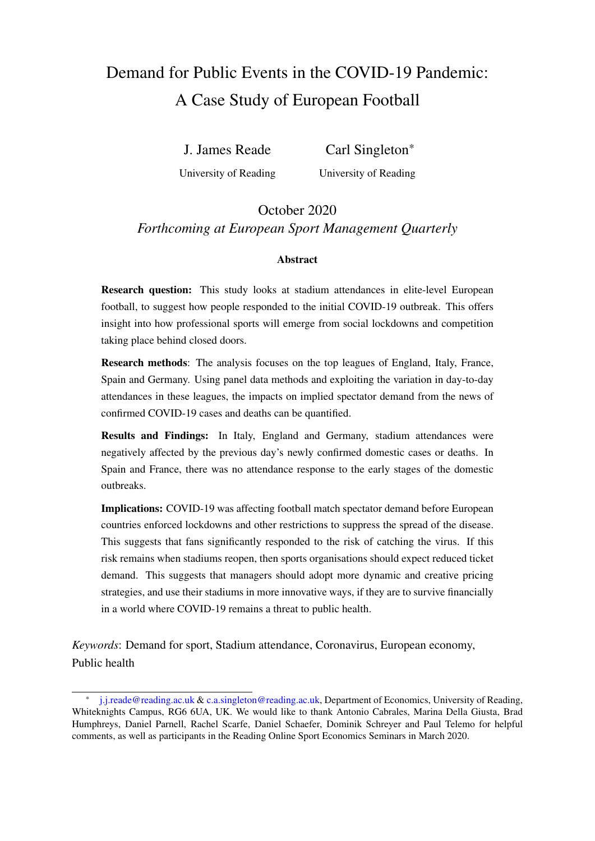# Demand for Public Events in the COVID-19 Pandemic: A Case Study of European Football

J. James Reade

Carl Singleton\*

University of Reading

University of Reading

# October 2020 *Forthcoming at European Sport Management Quarterly*

#### Abstract

Research question: This study looks at stadium attendances in elite-level European football, to suggest how people responded to the initial COVID-19 outbreak. This offers insight into how professional sports will emerge from social lockdowns and competition taking place behind closed doors.

Research methods: The analysis focuses on the top leagues of England, Italy, France, Spain and Germany. Using panel data methods and exploiting the variation in day-to-day attendances in these leagues, the impacts on implied spectator demand from the news of confirmed COVID-19 cases and deaths can be quantified.

Results and Findings: In Italy, England and Germany, stadium attendances were negatively affected by the previous day's newly confirmed domestic cases or deaths. In Spain and France, there was no attendance response to the early stages of the domestic outbreaks.

Implications: COVID-19 was affecting football match spectator demand before European countries enforced lockdowns and other restrictions to suppress the spread of the disease. This suggests that fans significantly responded to the risk of catching the virus. If this risk remains when stadiums reopen, then sports organisations should expect reduced ticket demand. This suggests that managers should adopt more dynamic and creative pricing strategies, and use their stadiums in more innovative ways, if they are to survive financially in a world where COVID-19 remains a threat to public health.

*Keywords*: Demand for sport, Stadium attendance, Coronavirus, European economy, Public health

[j.j.reade@reading.ac.uk](mailto:j.j.reade@reading.ac.uk) & [c.a.singleton@reading.ac.uk,](mailto:c.a.singleton@reading.ac.uk) Department of Economics, University of Reading, Whiteknights Campus, RG6 6UA, UK. We would like to thank Antonio Cabrales, Marina Della Giusta, Brad Humphreys, Daniel Parnell, Rachel Scarfe, Daniel Schaefer, Dominik Schreyer and Paul Telemo for helpful comments, as well as participants in the Reading Online Sport Economics Seminars in March 2020.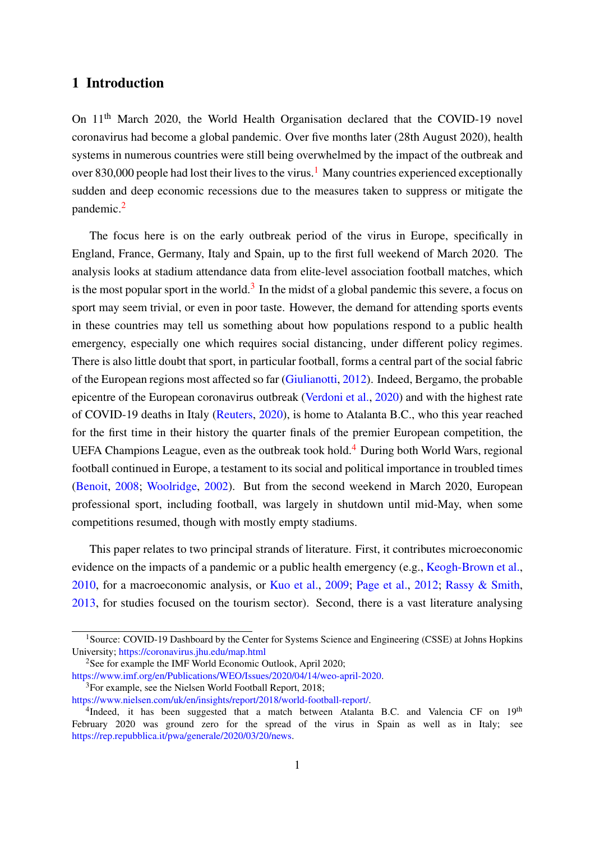### 1 Introduction

On 11th March 2020, the World Health Organisation declared that the COVID-19 novel coronavirus had become a global pandemic. Over five months later (28th August 2020), health systems in numerous countries were still being overwhelmed by the impact of the outbreak and over 830,000 people had lost their lives to the virus.<sup>[1](#page-1-0)</sup> Many countries experienced exceptionally sudden and deep economic recessions due to the measures taken to suppress or mitigate the pandemic.[2](#page-1-1)

The focus here is on the early outbreak period of the virus in Europe, specifically in England, France, Germany, Italy and Spain, up to the first full weekend of March 2020. The analysis looks at stadium attendance data from elite-level association football matches, which is the most popular sport in the world. $3 \text{ In the midst of a global pandemic this severe, a focus on}$  $3 \text{ In the midst of a global pandemic this severe, a focus on}$ sport may seem trivial, or even in poor taste. However, the demand for attending sports events in these countries may tell us something about how populations respond to a public health emergency, especially one which requires social distancing, under different policy regimes. There is also little doubt that sport, in particular football, forms a central part of the social fabric of the European regions most affected so far [\(Giulianotti,](#page-12-0) [2012\)](#page-12-0). Indeed, Bergamo, the probable epicentre of the European coronavirus outbreak [\(Verdoni et al.,](#page-14-0) [2020\)](#page-14-0) and with the highest rate of COVID-19 deaths in Italy [\(Reuters,](#page-13-0) [2020\)](#page-13-0), is home to Atalanta B.C., who this year reached for the first time in their history the quarter finals of the premier European competition, the UEFA Champions League, even as the outbreak took hold.<sup>[4](#page-1-3)</sup> During both World Wars, regional football continued in Europe, a testament to its social and political importance in troubled times [\(Benoit,](#page-11-0) [2008;](#page-11-0) [Woolridge,](#page-14-1) [2002\)](#page-14-1). But from the second weekend in March 2020, European professional sport, including football, was largely in shutdown until mid-May, when some competitions resumed, though with mostly empty stadiums.

This paper relates to two principal strands of literature. First, it contributes microeconomic evidence on the impacts of a pandemic or a public health emergency (e.g., [Keogh-Brown et al.,](#page-12-1) [2010,](#page-12-1) for a macroeconomic analysis, or [Kuo et al.,](#page-12-2) [2009;](#page-12-2) [Page et al.,](#page-13-1) [2012;](#page-13-1) [Rassy & Smith,](#page-13-2) [2013,](#page-13-2) for studies focused on the tourism sector). Second, there is a vast literature analysing

<span id="page-1-2"></span>[https://www.imf.org/en/Publications/WEO/Issues/2020/04/14/weo-april-2020.](https://www.imf.org/en/Publications/WEO/Issues/2020/04/14/weo-april-2020) <sup>3</sup>For example, see the Nielsen World Football Report, 2018;

<span id="page-1-0"></span><sup>&</sup>lt;sup>1</sup>Source: COVID-19 Dashboard by the Center for Systems Science and Engineering (CSSE) at Johns Hopkins University; <https://coronavirus.jhu.edu/map.html>

<span id="page-1-1"></span><sup>&</sup>lt;sup>2</sup>See for example the IMF World Economic Outlook, April 2020;

[https://www.nielsen.com/uk/en/insights/report/2018/world-football-report/.](https://www.nielsen.com/uk/en/insights/report/2018/world-football-report/)

<span id="page-1-3"></span><sup>&</sup>lt;sup>4</sup>Indeed, it has been suggested that a match between Atalanta B.C. and Valencia CF on 19<sup>th</sup> February 2020 was ground zero for the spread of the virus in Spain as well as in Italy; see [https://rep.repubblica.it/pwa/generale/2020/03/20/news.](https://rep.repubblica.it/pwa/generale/2020/03/20/news/atalanta-valencia_a_san_siro_il_detonatore_del_contagio-251839747/)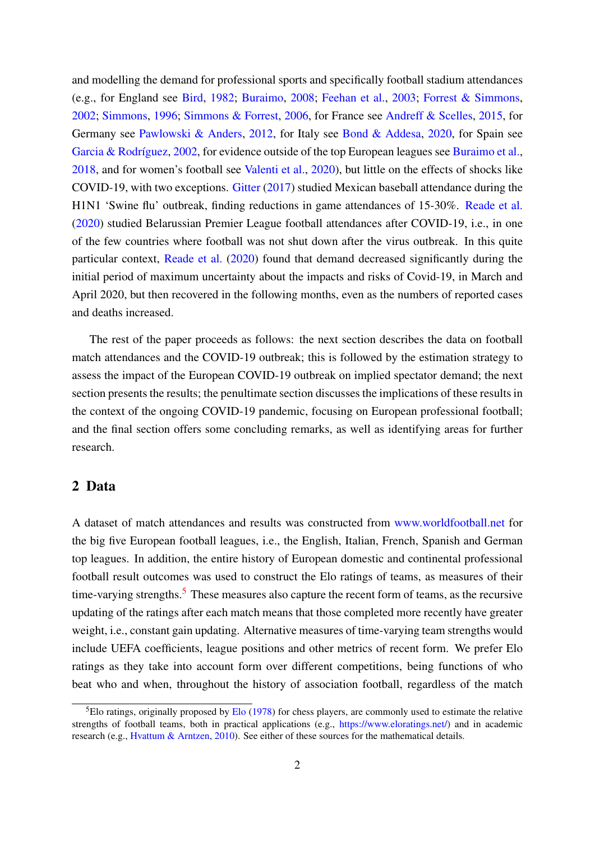and modelling the demand for professional sports and specifically football stadium attendances (e.g., for England see [Bird,](#page-11-1) [1982;](#page-11-1) [Buraimo,](#page-11-2) [2008;](#page-11-2) [Feehan et al.,](#page-12-3) [2003;](#page-12-3) [Forrest & Simmons,](#page-12-4) [2002;](#page-12-4) [Simmons,](#page-13-3) [1996;](#page-13-3) [Simmons & Forrest,](#page-14-2) [2006,](#page-14-2) for France see [Andreff & Scelles,](#page-11-3) [2015,](#page-11-3) for Germany see [Pawlowski & Anders,](#page-13-4) [2012,](#page-13-4) for Italy see [Bond & Addesa,](#page-11-4) [2020,](#page-11-4) for Spain see [Garcia & Rodríguez,](#page-12-5) [2002,](#page-12-5) for evidence outside of the top European leagues see [Buraimo et al.,](#page-11-5) [2018,](#page-11-5) and for women's football see [Valenti et al.,](#page-14-3) [2020\)](#page-14-3), but little on the effects of shocks like COVID-19, with two exceptions. [Gitter](#page-12-6) [\(2017\)](#page-12-6) studied Mexican baseball attendance during the H1N1 'Swine flu' outbreak, finding reductions in game attendances of 15-30%. [Reade et al.](#page-13-5) [\(2020\)](#page-13-5) studied Belarussian Premier League football attendances after COVID-19, i.e., in one of the few countries where football was not shut down after the virus outbreak. In this quite particular context, [Reade et al.](#page-13-5) [\(2020\)](#page-13-5) found that demand decreased significantly during the initial period of maximum uncertainty about the impacts and risks of Covid-19, in March and April 2020, but then recovered in the following months, even as the numbers of reported cases and deaths increased.

The rest of the paper proceeds as follows: the next section describes the data on football match attendances and the COVID-19 outbreak; this is followed by the estimation strategy to assess the impact of the European COVID-19 outbreak on implied spectator demand; the next section presents the results; the penultimate section discusses the implications of these results in the context of the ongoing COVID-19 pandemic, focusing on European professional football; and the final section offers some concluding remarks, as well as identifying areas for further research.

# 2 Data

A dataset of match attendances and results was constructed from [www.worldfootball.net](https://www.worldfootball.net) for the big five European football leagues, i.e., the English, Italian, French, Spanish and German top leagues. In addition, the entire history of European domestic and continental professional football result outcomes was used to construct the Elo ratings of teams, as measures of their time-varying strengths.<sup>[5](#page-2-0)</sup> These measures also capture the recent form of teams, as the recursive updating of the ratings after each match means that those completed more recently have greater weight, i.e., constant gain updating. Alternative measures of time-varying team strengths would include UEFA coefficients, league positions and other metrics of recent form. We prefer Elo ratings as they take into account form over different competitions, being functions of who beat who and when, throughout the history of association football, regardless of the match

<span id="page-2-0"></span><sup>&</sup>lt;sup>5</sup>[Elo](#page-11-6) ratings, originally proposed by Elo [\(1978\)](#page-11-6) for chess players, are commonly used to estimate the relative strengths of football teams, both in practical applications (e.g., [https://www.eloratings.net/\)](https://www.eloratings.net/) and in academic research (e.g., [Hvattum & Arntzen,](#page-12-7) [2010\)](#page-12-7). See either of these sources for the mathematical details.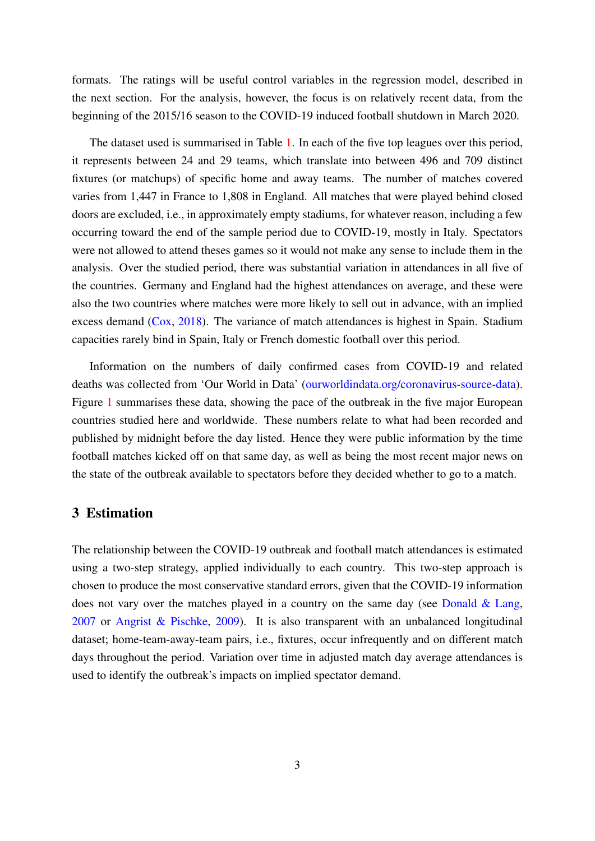formats. The ratings will be useful control variables in the regression model, described in the next section. For the analysis, however, the focus is on relatively recent data, from the beginning of the 2015/16 season to the COVID-19 induced football shutdown in March 2020.

The dataset used is summarised in Table [1.](#page-15-0) In each of the five top leagues over this period, it represents between 24 and 29 teams, which translate into between 496 and 709 distinct fixtures (or matchups) of specific home and away teams. The number of matches covered varies from 1,447 in France to 1,808 in England. All matches that were played behind closed doors are excluded, i.e., in approximately empty stadiums, for whatever reason, including a few occurring toward the end of the sample period due to COVID-19, mostly in Italy. Spectators were not allowed to attend theses games so it would not make any sense to include them in the analysis. Over the studied period, there was substantial variation in attendances in all five of the countries. Germany and England had the highest attendances on average, and these were also the two countries where matches were more likely to sell out in advance, with an implied excess demand [\(Cox,](#page-11-7) [2018\)](#page-11-7). The variance of match attendances is highest in Spain. Stadium capacities rarely bind in Spain, Italy or French domestic football over this period.

Information on the numbers of daily confirmed cases from COVID-19 and related deaths was collected from 'Our World in Data' [\(ourworldindata.org/coronavirus-source-data\)](https://ourworldindata.org/coronavirus-source-data). Figure [1](#page-18-0) summarises these data, showing the pace of the outbreak in the five major European countries studied here and worldwide. These numbers relate to what had been recorded and published by midnight before the day listed. Hence they were public information by the time football matches kicked off on that same day, as well as being the most recent major news on the state of the outbreak available to spectators before they decided whether to go to a match.

## 3 Estimation

The relationship between the COVID-19 outbreak and football match attendances is estimated using a two-step strategy, applied individually to each country. This two-step approach is chosen to produce the most conservative standard errors, given that the COVID-19 information does not vary over the matches played in a country on the same day (see [Donald & Lang,](#page-11-8) [2007](#page-11-8) or [Angrist & Pischke,](#page-11-9) [2009\)](#page-11-9). It is also transparent with an unbalanced longitudinal dataset; home-team-away-team pairs, i.e., fixtures, occur infrequently and on different match days throughout the period. Variation over time in adjusted match day average attendances is used to identify the outbreak's impacts on implied spectator demand.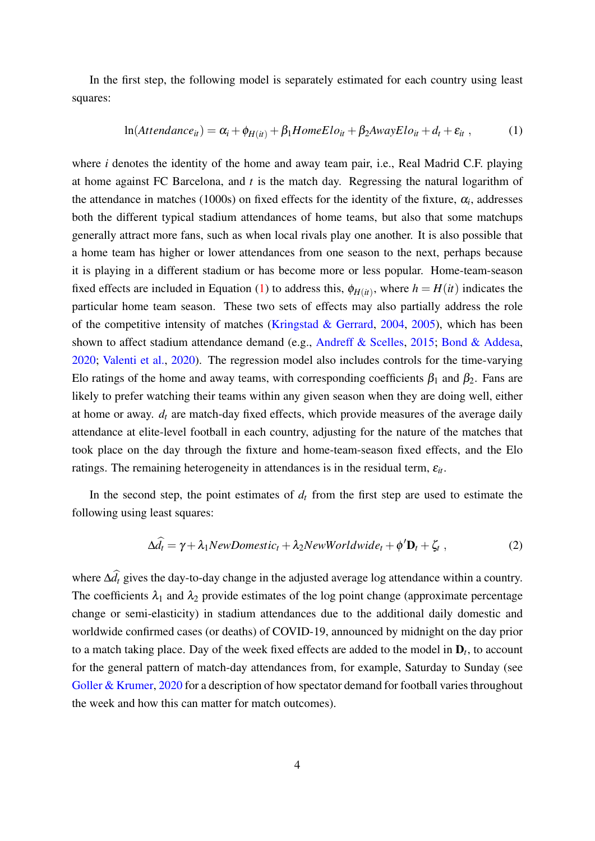In the first step, the following model is separately estimated for each country using least squares:

<span id="page-4-0"></span>
$$
\ln(Attendance_{it}) = \alpha_i + \phi_{H(it)} + \beta_1 HomeElo_{it} + \beta_2 AwayElo_{it} + d_t + \varepsilon_{it} , \qquad (1)
$$

where *i* denotes the identity of the home and away team pair, i.e., Real Madrid C.F. playing at home against FC Barcelona, and *t* is the match day. Regressing the natural logarithm of the attendance in matches (1000s) on fixed effects for the identity of the fixture,  $\alpha_i$ , addresses both the different typical stadium attendances of home teams, but also that some matchups generally attract more fans, such as when local rivals play one another. It is also possible that a home team has higher or lower attendances from one season to the next, perhaps because it is playing in a different stadium or has become more or less popular. Home-team-season fixed effects are included in Equation [\(1\)](#page-4-0) to address this,  $\phi_{H(it)}$ , where  $h = H(it)$  indicates the particular home team season. These two sets of effects may also partially address the role of the competitive intensity of matches [\(Kringstad & Gerrard,](#page-12-8) [2004,](#page-12-8) [2005\)](#page-12-9), which has been shown to affect stadium attendance demand (e.g., [Andreff & Scelles,](#page-11-3) [2015;](#page-11-3) [Bond & Addesa,](#page-11-4) [2020;](#page-11-4) [Valenti et al.,](#page-14-3) [2020\)](#page-14-3). The regression model also includes controls for the time-varying Elo ratings of the home and away teams, with corresponding coefficients  $\beta_1$  and  $\beta_2$ . Fans are likely to prefer watching their teams within any given season when they are doing well, either at home or away.  $d_t$  are match-day fixed effects, which provide measures of the average daily attendance at elite-level football in each country, adjusting for the nature of the matches that took place on the day through the fixture and home-team-season fixed effects, and the Elo ratings. The remaining heterogeneity in attendances is in the residual term,  $\varepsilon_{it}$ .

In the second step, the point estimates of  $d_t$  from the first step are used to estimate the following using least squares:

<span id="page-4-1"></span>
$$
\Delta \widehat{d}_t = \gamma + \lambda_1 NewDomestic_t + \lambda_2 NewWorldwide_t + \phi' \mathbf{D}_t + \zeta_t , \qquad (2)
$$

where  $\Delta \hat{d}_t$  gives the day-to-day change in the adjusted average log attendance within a country. The coefficients  $\lambda_1$  and  $\lambda_2$  provide estimates of the log point change (approximate percentage change or semi-elasticity) in stadium attendances due to the additional daily domestic and worldwide confirmed cases (or deaths) of COVID-19, announced by midnight on the day prior to a match taking place. Day of the week fixed effects are added to the model in  $D_t$ , to account for the general pattern of match-day attendances from, for example, Saturday to Sunday (see [Goller & Krumer,](#page-12-10) [2020](#page-12-10) for a description of how spectator demand for football varies throughout the week and how this can matter for match outcomes).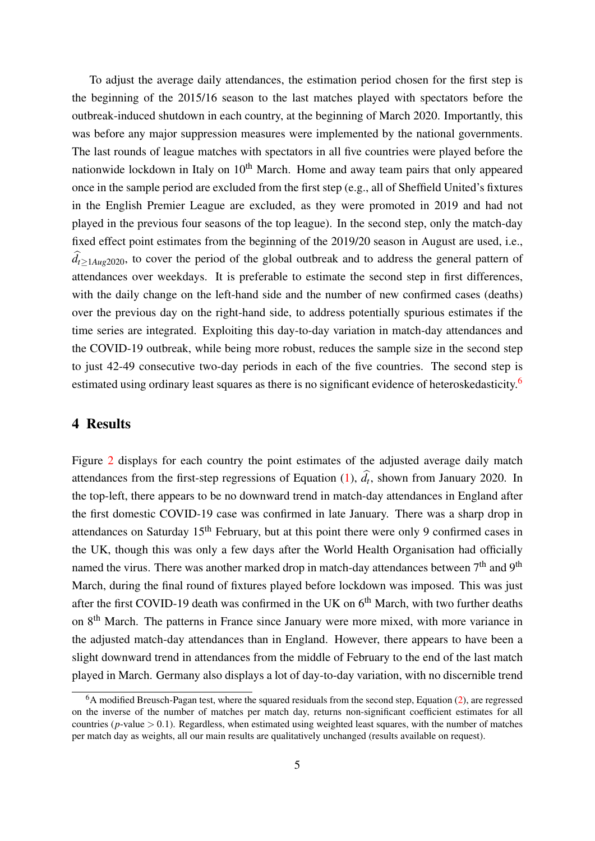To adjust the average daily attendances, the estimation period chosen for the first step is the beginning of the 2015/16 season to the last matches played with spectators before the outbreak-induced shutdown in each country, at the beginning of March 2020. Importantly, this was before any major suppression measures were implemented by the national governments. The last rounds of league matches with spectators in all five countries were played before the nationwide lockdown in Italy on  $10<sup>th</sup>$  March. Home and away team pairs that only appeared once in the sample period are excluded from the first step (e.g., all of Sheffield United's fixtures in the English Premier League are excluded, as they were promoted in 2019 and had not played in the previous four seasons of the top league). In the second step, only the match-day fixed effect point estimates from the beginning of the 2019/20 season in August are used, i.e.,  $d_{t\geq 1Aug2020}$ , to cover the period of the global outbreak and to address the general pattern of attendances over weekdays. It is preferable to estimate the second step in first differences, with the daily change on the left-hand side and the number of new confirmed cases (deaths) over the previous day on the right-hand side, to address potentially spurious estimates if the time series are integrated. Exploiting this day-to-day variation in match-day attendances and the COVID-19 outbreak, while being more robust, reduces the sample size in the second step to just 42-49 consecutive two-day periods in each of the five countries. The second step is estimated using ordinary least squares as there is no significant evidence of heteroskedasticity.<sup>[6](#page-5-0)</sup>

### 4 Results

Figure [2](#page-19-0) displays for each country the point estimates of the adjusted average daily match attendances from the first-step regressions of Equation  $(1)$ ,  $d_t$ , shown from January 2020. In the top-left, there appears to be no downward trend in match-day attendances in England after the first domestic COVID-19 case was confirmed in late January. There was a sharp drop in attendances on Saturday 15<sup>th</sup> February, but at this point there were only 9 confirmed cases in the UK, though this was only a few days after the World Health Organisation had officially named the virus. There was another marked drop in match-day attendances between  $7<sup>th</sup>$  and  $9<sup>th</sup>$ March, during the final round of fixtures played before lockdown was imposed. This was just after the first COVID-19 death was confirmed in the UK on 6<sup>th</sup> March, with two further deaths on 8<sup>th</sup> March. The patterns in France since January were more mixed, with more variance in the adjusted match-day attendances than in England. However, there appears to have been a slight downward trend in attendances from the middle of February to the end of the last match played in March. Germany also displays a lot of day-to-day variation, with no discernible trend

<span id="page-5-0"></span> $6A$  modified Breusch-Pagan test, where the squared residuals from the second step, Equation [\(2\)](#page-4-1), are regressed on the inverse of the number of matches per match day, returns non-significant coefficient estimates for all countries ( $p$ -value  $> 0.1$ ). Regardless, when estimated using weighted least squares, with the number of matches per match day as weights, all our main results are qualitatively unchanged (results available on request).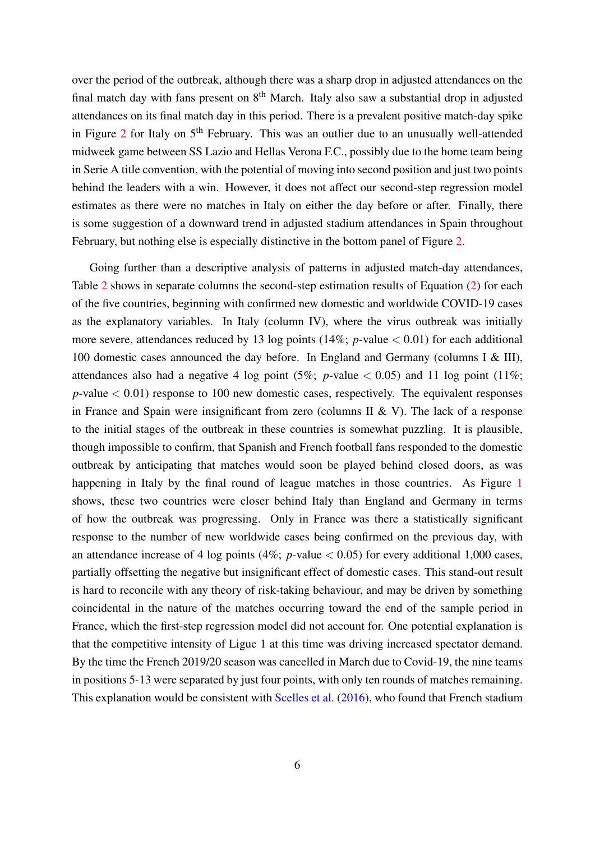over the period of the outbreak, although there was a sharp drop in adjusted attendances on the final match day with fans present on  $8<sup>th</sup>$  March. Italy also saw a substantial drop in adjusted attendances on its final match day in this period. There is a prevalent positive match-day spike in Figure [2](#page-19-0) for Italy on 5<sup>th</sup> February. This was an outlier due to an unusually well-attended midweek game between SS Lazio and Hellas Verona F.C., possibly due to the home team being in Serie A title convention, with the potential of moving into second position and just two points behind the leaders with a win. However, it does not affect our second-step regression model estimates as there were no matches in Italy on either the day before or after. Finally, there is some suggestion of a downward trend in adjusted stadium attendances in Spain throughout February, but nothing else is especially distinctive in the bottom panel of Figure [2.](#page-19-0)

Going further than a descriptive analysis of patterns in adjusted match-day attendances, Table [2](#page-16-0) shows in separate columns the second-step estimation results of Equation [\(2\)](#page-4-1) for each of the five countries, beginning with confirmed new domestic and worldwide COVID-19 cases as the explanatory variables. In Italy (column IV), where the virus outbreak was initially more severe, attendances reduced by 13 log points  $(14\%; p-value < 0.01)$  for each additional 100 domestic cases announced the day before. In England and Germany (columns I & III), attendances also had a negative 4 log point  $(5\%; p-value < 0.05)$  and 11 log point  $(11\%;$  $p$ -value  $< 0.01$ ) response to 100 new domestic cases, respectively. The equivalent responses in France and Spain were insignificant from zero (columns II  $&$  V). The lack of a response to the initial stages of the outbreak in these countries is somewhat puzzling. It is plausible, though impossible to confirm, that Spanish and French football fans responded to the domestic outbreak by anticipating that matches would soon be played behind closed doors, as was happening in Italy by the final round of league matches in those countries. As Figure [1](#page-18-0) shows, these two countries were closer behind Italy than England and Germany in terms of how the outbreak was progressing. Only in France was there a statistically significant response to the number of new worldwide cases being confirmed on the previous day, with an attendance increase of 4 log points (4%;  $p$ -value  $< 0.05$ ) for every additional 1,000 cases, partially offsetting the negative but insignificant effect of domestic cases. This stand-out result is hard to reconcile with any theory of risk-taking behaviour, and may be driven by something coincidental in the nature of the matches occurring toward the end of the sample period in France, which the first-step regression model did not account for. One potential explanation is that the competitive intensity of Ligue 1 at this time was driving increased spectator demand. By the time the French 2019/20 season was cancelled in March due to Covid-19, the nine teams in positions 5-13 were separated by just four points, with only ten rounds of matches remaining. This explanation would be consistent with [Scelles et al.](#page-13-6) [\(2016\)](#page-13-6), who found that French stadium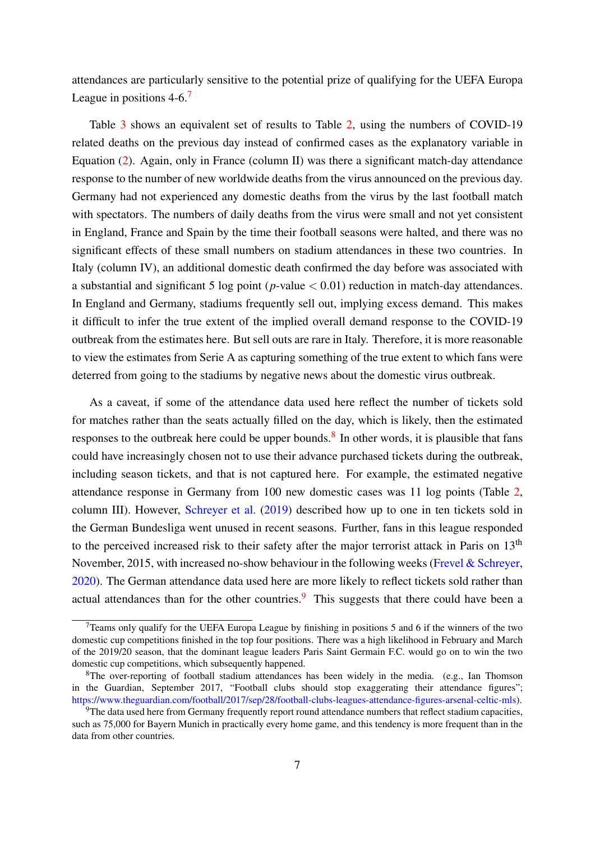attendances are particularly sensitive to the potential prize of qualifying for the UEFA Europa League in positions  $4-6.7$  $4-6.7$ 

Table [3](#page-17-0) shows an equivalent set of results to Table [2,](#page-16-0) using the numbers of COVID-19 related deaths on the previous day instead of confirmed cases as the explanatory variable in Equation [\(2\)](#page-4-1). Again, only in France (column II) was there a significant match-day attendance response to the number of new worldwide deaths from the virus announced on the previous day. Germany had not experienced any domestic deaths from the virus by the last football match with spectators. The numbers of daily deaths from the virus were small and not yet consistent in England, France and Spain by the time their football seasons were halted, and there was no significant effects of these small numbers on stadium attendances in these two countries. In Italy (column IV), an additional domestic death confirmed the day before was associated with a substantial and significant 5 log point ( $p$ -value  $< 0.01$ ) reduction in match-day attendances. In England and Germany, stadiums frequently sell out, implying excess demand. This makes it difficult to infer the true extent of the implied overall demand response to the COVID-19 outbreak from the estimates here. But sell outs are rare in Italy. Therefore, it is more reasonable to view the estimates from Serie A as capturing something of the true extent to which fans were deterred from going to the stadiums by negative news about the domestic virus outbreak.

As a caveat, if some of the attendance data used here reflect the number of tickets sold for matches rather than the seats actually filled on the day, which is likely, then the estimated responses to the outbreak here could be upper bounds.<sup>[8](#page-7-1)</sup> In other words, it is plausible that fans could have increasingly chosen not to use their advance purchased tickets during the outbreak, including season tickets, and that is not captured here. For example, the estimated negative attendance response in Germany from 100 new domestic cases was 11 log points (Table [2,](#page-16-0) column III). However, [Schreyer et al.](#page-13-7) [\(2019\)](#page-13-7) described how up to one in ten tickets sold in the German Bundesliga went unused in recent seasons. Further, fans in this league responded to the perceived increased risk to their safety after the major terrorist attack in Paris on 13<sup>th</sup> November, 2015, with increased no-show behaviour in the following weeks [\(Frevel & Schreyer,](#page-12-11) [2020\)](#page-12-11). The German attendance data used here are more likely to reflect tickets sold rather than actual attendances than for the other countries.<sup>[9](#page-7-2)</sup> This suggests that there could have been a

<span id="page-7-0"></span> $7$ Teams only qualify for the UEFA Europa League by finishing in positions 5 and 6 if the winners of the two domestic cup competitions finished in the top four positions. There was a high likelihood in February and March of the 2019/20 season, that the dominant league leaders Paris Saint Germain F.C. would go on to win the two domestic cup competitions, which subsequently happened.

<span id="page-7-1"></span><sup>&</sup>lt;sup>8</sup>The over-reporting of football stadium attendances has been widely in the media. (e.g., Ian Thomson in the Guardian, September 2017, "Football clubs should stop exaggerating their attendance figures"; [https://www.theguardian.com/football/2017/sep/28/football-clubs-leagues-attendance-figures-arsenal-celtic-mls\)](https://www.theguardian.com/football/2017/sep/28/football-clubs-leagues-attendance-figures-arsenal-celtic-mls).

<span id="page-7-2"></span><sup>&</sup>lt;sup>9</sup>The data used here from Germany frequently report round attendance numbers that reflect stadium capacities, such as 75,000 for Bayern Munich in practically every home game, and this tendency is more frequent than in the data from other countries.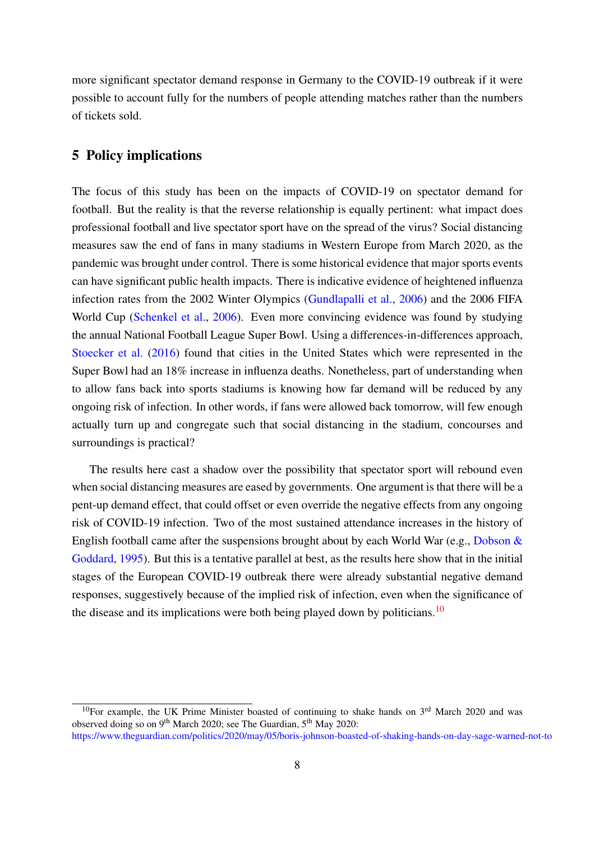more significant spectator demand response in Germany to the COVID-19 outbreak if it were possible to account fully for the numbers of people attending matches rather than the numbers of tickets sold.

### 5 Policy implications

The focus of this study has been on the impacts of COVID-19 on spectator demand for football. But the reality is that the reverse relationship is equally pertinent: what impact does professional football and live spectator sport have on the spread of the virus? Social distancing measures saw the end of fans in many stadiums in Western Europe from March 2020, as the pandemic was brought under control. There is some historical evidence that major sports events can have significant public health impacts. There is indicative evidence of heightened influenza infection rates from the 2002 Winter Olympics [\(Gundlapalli et al.,](#page-12-12) [2006\)](#page-12-12) and the 2006 FIFA World Cup [\(Schenkel et al.,](#page-13-8) [2006\)](#page-13-8). Even more convincing evidence was found by studying the annual National Football League Super Bowl. Using a differences-in-differences approach, [Stoecker et al.](#page-14-4) [\(2016\)](#page-14-4) found that cities in the United States which were represented in the Super Bowl had an 18% increase in influenza deaths. Nonetheless, part of understanding when to allow fans back into sports stadiums is knowing how far demand will be reduced by any ongoing risk of infection. In other words, if fans were allowed back tomorrow, will few enough actually turn up and congregate such that social distancing in the stadium, concourses and surroundings is practical?

The results here cast a shadow over the possibility that spectator sport will rebound even when social distancing measures are eased by governments. One argument is that there will be a pent-up demand effect, that could offset or even override the negative effects from any ongoing risk of COVID-19 infection. Two of the most sustained attendance increases in the history of English football came after the suspensions brought about by each World War (e.g., Dobson  $\&$ [Goddard,](#page-11-10) [1995\)](#page-11-10). But this is a tentative parallel at best, as the results here show that in the initial stages of the European COVID-19 outbreak there were already substantial negative demand responses, suggestively because of the implied risk of infection, even when the significance of the disease and its implications were both being played down by politicians.<sup>[10](#page-8-0)</sup>

<span id="page-8-0"></span><sup>&</sup>lt;sup>10</sup>For example, the UK Prime Minister boasted of continuing to shake hands on  $3<sup>rd</sup>$  March 2020 and was observed doing so on 9<sup>th</sup> March 2020; see The Guardian, 5<sup>th</sup> May 2020: <https://www.theguardian.com/politics/2020/may/05/boris-johnson-boasted-of-shaking-hands-on-day-sage-warned-not-to>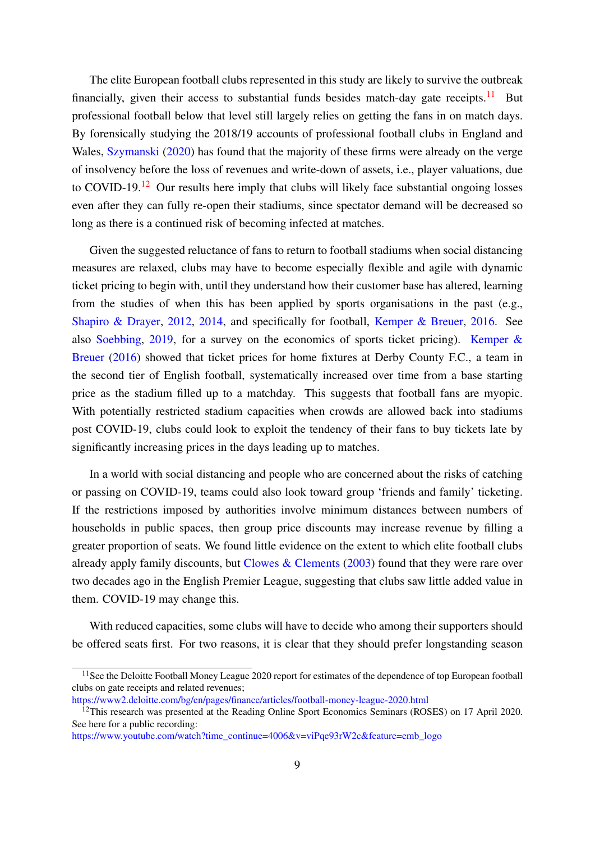The elite European football clubs represented in this study are likely to survive the outbreak financially, given their access to substantial funds besides match-day gate receipts.<sup>[11](#page-9-0)</sup> But professional football below that level still largely relies on getting the fans in on match days. By forensically studying the 2018/19 accounts of professional football clubs in England and Wales, [Szymanski](#page-14-5) [\(2020\)](#page-14-5) has found that the majority of these firms were already on the verge of insolvency before the loss of revenues and write-down of assets, i.e., player valuations, due to COVID-19.<sup>[12](#page-9-1)</sup> Our results here imply that clubs will likely face substantial ongoing losses even after they can fully re-open their stadiums, since spectator demand will be decreased so long as there is a continued risk of becoming infected at matches.

Given the suggested reluctance of fans to return to football stadiums when social distancing measures are relaxed, clubs may have to become especially flexible and agile with dynamic ticket pricing to begin with, until they understand how their customer base has altered, learning from the studies of when this has been applied by sports organisations in the past (e.g., [Shapiro & Drayer,](#page-13-9) [2012,](#page-13-9) [2014,](#page-13-10) and specifically for football, [Kemper & Breuer,](#page-12-13) [2016.](#page-12-13) See also [Soebbing,](#page-14-6) [2019,](#page-14-6) for a survey on the economics of sports ticket pricing). [Kemper &](#page-12-13) [Breuer](#page-12-13) [\(2016\)](#page-12-13) showed that ticket prices for home fixtures at Derby County F.C., a team in the second tier of English football, systematically increased over time from a base starting price as the stadium filled up to a matchday. This suggests that football fans are myopic. With potentially restricted stadium capacities when crowds are allowed back into stadiums post COVID-19, clubs could look to exploit the tendency of their fans to buy tickets late by significantly increasing prices in the days leading up to matches.

In a world with social distancing and people who are concerned about the risks of catching or passing on COVID-19, teams could also look toward group 'friends and family' ticketing. If the restrictions imposed by authorities involve minimum distances between numbers of households in public spaces, then group price discounts may increase revenue by filling a greater proportion of seats. We found little evidence on the extent to which elite football clubs already apply family discounts, but [Clowes & Clements](#page-11-11) [\(2003\)](#page-11-11) found that they were rare over two decades ago in the English Premier League, suggesting that clubs saw little added value in them. COVID-19 may change this.

With reduced capacities, some clubs will have to decide who among their supporters should be offered seats first. For two reasons, it is clear that they should prefer longstanding season

<span id="page-9-0"></span><sup>&</sup>lt;sup>11</sup>See the Deloitte Football Money League 2020 report for estimates of the dependence of top European football clubs on gate receipts and related revenues;

<https://www2.deloitte.com/bg/en/pages/finance/articles/football-money-league-2020.html>

<span id="page-9-1"></span><sup>&</sup>lt;sup>12</sup>This research was presented at the Reading Online Sport Economics Seminars (ROSES) on 17 April 2020. See here for a public recording:

[https://www.youtube.com/watch?time\\_continue=4006&v=viPqe93rW2c&feature=emb\\_logo](https://www.youtube.com/watch?time_continue=4006&v=viPqe93rW2c&feature=emb_logo)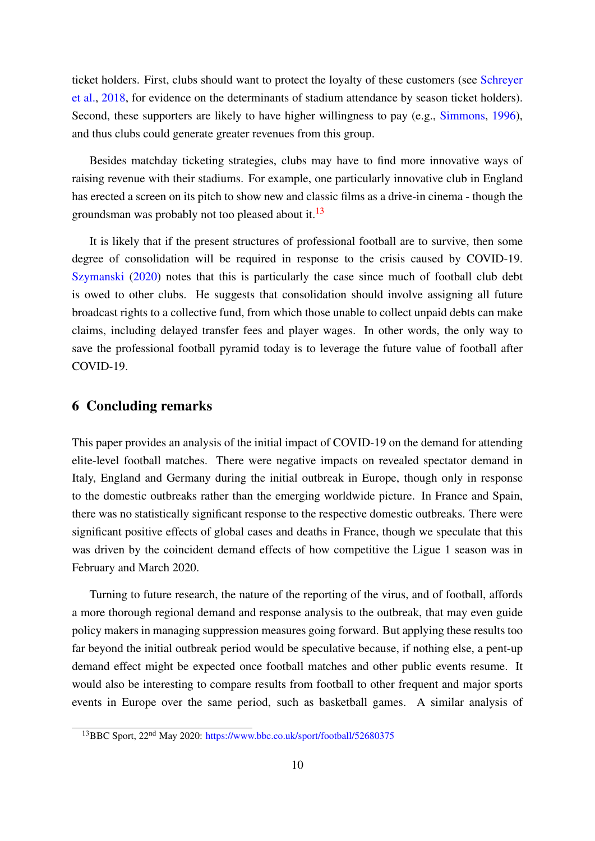ticket holders. First, clubs should want to protect the loyalty of these customers (see [Schreyer](#page-13-11) [et al.,](#page-13-11) [2018,](#page-13-11) for evidence on the determinants of stadium attendance by season ticket holders). Second, these supporters are likely to have higher willingness to pay (e.g., [Simmons,](#page-13-3) [1996\)](#page-13-3), and thus clubs could generate greater revenues from this group.

Besides matchday ticketing strategies, clubs may have to find more innovative ways of raising revenue with their stadiums. For example, one particularly innovative club in England has erected a screen on its pitch to show new and classic films as a drive-in cinema - though the groundsman was probably not too pleased about it.<sup>[13](#page-10-0)</sup>

It is likely that if the present structures of professional football are to survive, then some degree of consolidation will be required in response to the crisis caused by COVID-19. [Szymanski](#page-14-5) [\(2020\)](#page-14-5) notes that this is particularly the case since much of football club debt is owed to other clubs. He suggests that consolidation should involve assigning all future broadcast rights to a collective fund, from which those unable to collect unpaid debts can make claims, including delayed transfer fees and player wages. In other words, the only way to save the professional football pyramid today is to leverage the future value of football after COVID-19.

#### 6 Concluding remarks

This paper provides an analysis of the initial impact of COVID-19 on the demand for attending elite-level football matches. There were negative impacts on revealed spectator demand in Italy, England and Germany during the initial outbreak in Europe, though only in response to the domestic outbreaks rather than the emerging worldwide picture. In France and Spain, there was no statistically significant response to the respective domestic outbreaks. There were significant positive effects of global cases and deaths in France, though we speculate that this was driven by the coincident demand effects of how competitive the Ligue 1 season was in February and March 2020.

Turning to future research, the nature of the reporting of the virus, and of football, affords a more thorough regional demand and response analysis to the outbreak, that may even guide policy makers in managing suppression measures going forward. But applying these results too far beyond the initial outbreak period would be speculative because, if nothing else, a pent-up demand effect might be expected once football matches and other public events resume. It would also be interesting to compare results from football to other frequent and major sports events in Europe over the same period, such as basketball games. A similar analysis of

<span id="page-10-0"></span><sup>13</sup>BBC Sport, 22nd May 2020: <https://www.bbc.co.uk/sport/football/52680375>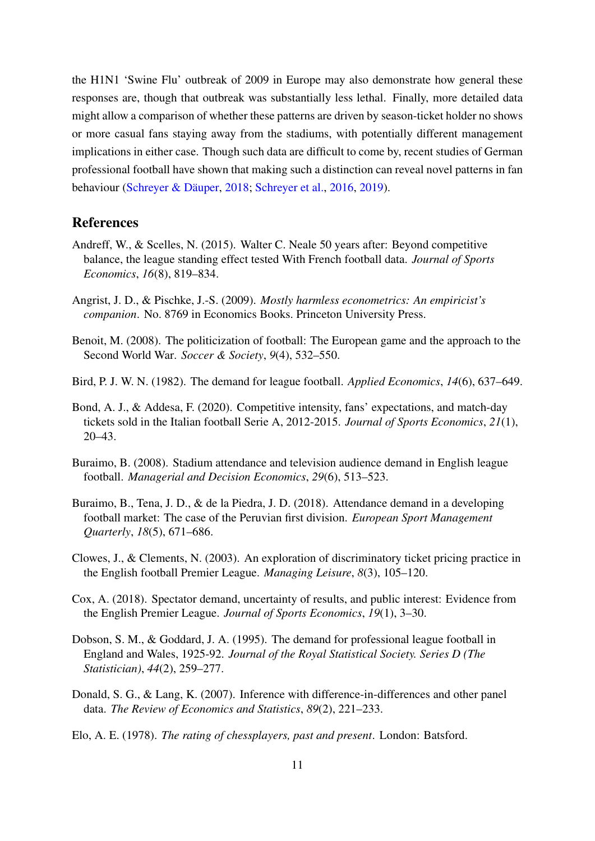the H1N1 'Swine Flu' outbreak of 2009 in Europe may also demonstrate how general these responses are, though that outbreak was substantially less lethal. Finally, more detailed data might allow a comparison of whether these patterns are driven by season-ticket holder no shows or more casual fans staying away from the stadiums, with potentially different management implications in either case. Though such data are difficult to come by, recent studies of German professional football have shown that making such a distinction can reveal novel patterns in fan behaviour [\(Schreyer & Däuper,](#page-13-12) [2018;](#page-13-12) [Schreyer et al.,](#page-13-13) [2016,](#page-13-13) [2019\)](#page-13-7).

#### References

- <span id="page-11-3"></span>Andreff, W., & Scelles, N. (2015). Walter C. Neale 50 years after: Beyond competitive balance, the league standing effect tested With French football data. *Journal of Sports Economics*, *16*(8), 819–834.
- <span id="page-11-9"></span>Angrist, J. D., & Pischke, J.-S. (2009). *Mostly harmless econometrics: An empiricist's companion*. No. 8769 in Economics Books. Princeton University Press.
- <span id="page-11-0"></span>Benoit, M. (2008). The politicization of football: The European game and the approach to the Second World War. *Soccer & Society*, *9*(4), 532–550.
- <span id="page-11-1"></span>Bird, P. J. W. N. (1982). The demand for league football. *Applied Economics*, *14*(6), 637–649.
- <span id="page-11-4"></span>Bond, A. J., & Addesa, F. (2020). Competitive intensity, fans' expectations, and match-day tickets sold in the Italian football Serie A, 2012-2015. *Journal of Sports Economics*, *21*(1), 20–43.
- <span id="page-11-2"></span>Buraimo, B. (2008). Stadium attendance and television audience demand in English league football. *Managerial and Decision Economics*, *29*(6), 513–523.
- <span id="page-11-5"></span>Buraimo, B., Tena, J. D., & de la Piedra, J. D. (2018). Attendance demand in a developing football market: The case of the Peruvian first division. *European Sport Management Quarterly*, *18*(5), 671–686.
- <span id="page-11-11"></span>Clowes, J., & Clements, N. (2003). An exploration of discriminatory ticket pricing practice in the English football Premier League. *Managing Leisure*, *8*(3), 105–120.
- <span id="page-11-7"></span>Cox, A. (2018). Spectator demand, uncertainty of results, and public interest: Evidence from the English Premier League. *Journal of Sports Economics*, *19*(1), 3–30.
- <span id="page-11-10"></span>Dobson, S. M., & Goddard, J. A. (1995). The demand for professional league football in England and Wales, 1925-92. *Journal of the Royal Statistical Society. Series D (The Statistician)*, *44*(2), 259–277.
- <span id="page-11-8"></span>Donald, S. G., & Lang, K. (2007). Inference with difference-in-differences and other panel data. *The Review of Economics and Statistics*, *89*(2), 221–233.
- <span id="page-11-6"></span>Elo, A. E. (1978). *The rating of chessplayers, past and present*. London: Batsford.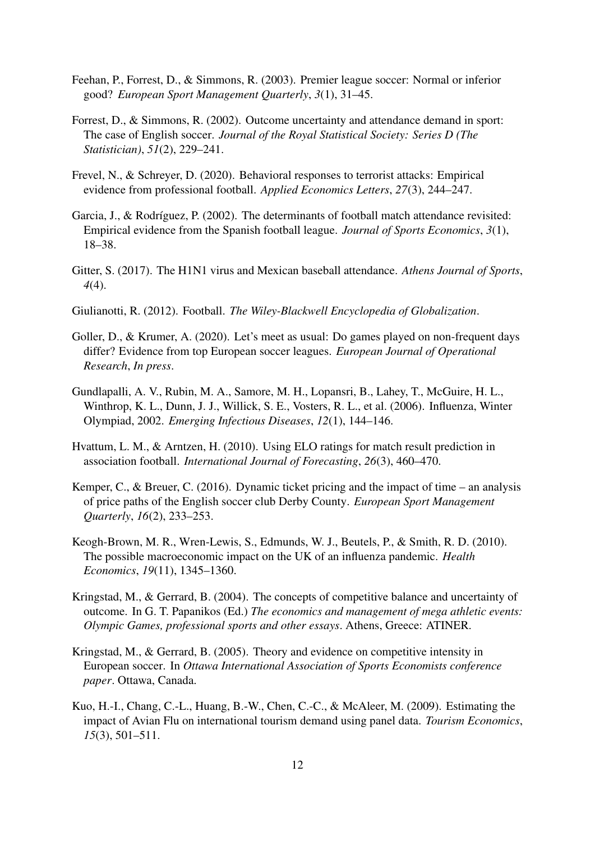- <span id="page-12-3"></span>Feehan, P., Forrest, D., & Simmons, R. (2003). Premier league soccer: Normal or inferior good? *European Sport Management Quarterly*, *3*(1), 31–45.
- <span id="page-12-4"></span>Forrest, D., & Simmons, R. (2002). Outcome uncertainty and attendance demand in sport: The case of English soccer. *Journal of the Royal Statistical Society: Series D (The Statistician)*, *51*(2), 229–241.
- <span id="page-12-11"></span>Frevel, N., & Schreyer, D. (2020). Behavioral responses to terrorist attacks: Empirical evidence from professional football. *Applied Economics Letters*, *27*(3), 244–247.
- <span id="page-12-5"></span>Garcia, J., & Rodríguez, P. (2002). The determinants of football match attendance revisited: Empirical evidence from the Spanish football league. *Journal of Sports Economics*, *3*(1), 18–38.
- <span id="page-12-6"></span>Gitter, S. (2017). The H1N1 virus and Mexican baseball attendance. *Athens Journal of Sports*, *4*(4).
- <span id="page-12-0"></span>Giulianotti, R. (2012). Football. *The Wiley-Blackwell Encyclopedia of Globalization*.
- <span id="page-12-10"></span>Goller, D., & Krumer, A. (2020). Let's meet as usual: Do games played on non-frequent days differ? Evidence from top European soccer leagues. *European Journal of Operational Research*, *In press*.
- <span id="page-12-12"></span>Gundlapalli, A. V., Rubin, M. A., Samore, M. H., Lopansri, B., Lahey, T., McGuire, H. L., Winthrop, K. L., Dunn, J. J., Willick, S. E., Vosters, R. L., et al. (2006). Influenza, Winter Olympiad, 2002. *Emerging Infectious Diseases*, *12*(1), 144–146.
- <span id="page-12-7"></span>Hvattum, L. M., & Arntzen, H. (2010). Using ELO ratings for match result prediction in association football. *International Journal of Forecasting*, *26*(3), 460–470.
- <span id="page-12-13"></span>Kemper, C., & Breuer, C. (2016). Dynamic ticket pricing and the impact of time – an analysis of price paths of the English soccer club Derby County. *European Sport Management Quarterly*, *16*(2), 233–253.
- <span id="page-12-1"></span>Keogh-Brown, M. R., Wren-Lewis, S., Edmunds, W. J., Beutels, P., & Smith, R. D. (2010). The possible macroeconomic impact on the UK of an influenza pandemic. *Health Economics*, *19*(11), 1345–1360.
- <span id="page-12-8"></span>Kringstad, M., & Gerrard, B. (2004). The concepts of competitive balance and uncertainty of outcome. In G. T. Papanikos (Ed.) *The economics and management of mega athletic events: Olympic Games, professional sports and other essays*. Athens, Greece: ATINER.
- <span id="page-12-9"></span>Kringstad, M., & Gerrard, B. (2005). Theory and evidence on competitive intensity in European soccer. In *Ottawa International Association of Sports Economists conference paper*. Ottawa, Canada.
- <span id="page-12-2"></span>Kuo, H.-I., Chang, C.-L., Huang, B.-W., Chen, C.-C., & McAleer, M. (2009). Estimating the impact of Avian Flu on international tourism demand using panel data. *Tourism Economics*, *15*(3), 501–511.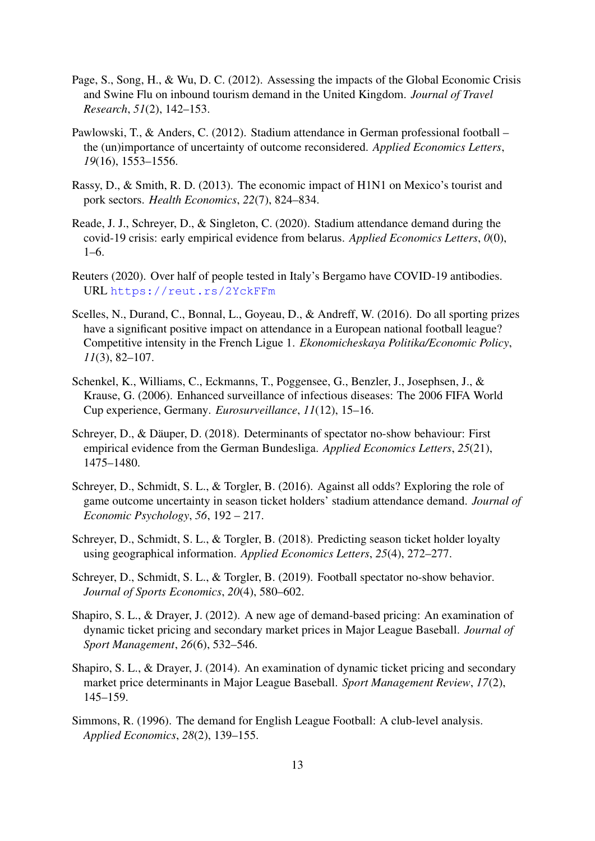- <span id="page-13-1"></span>Page, S., Song, H., & Wu, D. C. (2012). Assessing the impacts of the Global Economic Crisis and Swine Flu on inbound tourism demand in the United Kingdom. *Journal of Travel Research*, *51*(2), 142–153.
- <span id="page-13-4"></span>Pawlowski, T., & Anders, C. (2012). Stadium attendance in German professional football – the (un)importance of uncertainty of outcome reconsidered. *Applied Economics Letters*, *19*(16), 1553–1556.
- <span id="page-13-2"></span>Rassy, D., & Smith, R. D. (2013). The economic impact of H1N1 on Mexico's tourist and pork sectors. *Health Economics*, *22*(7), 824–834.
- <span id="page-13-5"></span>Reade, J. J., Schreyer, D., & Singleton, C. (2020). Stadium attendance demand during the covid-19 crisis: early empirical evidence from belarus. *Applied Economics Letters*, *0*(0), 1–6.
- <span id="page-13-0"></span>Reuters (2020). Over half of people tested in Italy's Bergamo have COVID-19 antibodies. URL <https://reut.rs/2YckFFm>
- <span id="page-13-6"></span>Scelles, N., Durand, C., Bonnal, L., Goyeau, D., & Andreff, W. (2016). Do all sporting prizes have a significant positive impact on attendance in a European national football league? Competitive intensity in the French Ligue 1. *Ekonomicheskaya Politika/Economic Policy*, *11*(3), 82–107.
- <span id="page-13-8"></span>Schenkel, K., Williams, C., Eckmanns, T., Poggensee, G., Benzler, J., Josephsen, J., & Krause, G. (2006). Enhanced surveillance of infectious diseases: The 2006 FIFA World Cup experience, Germany. *Eurosurveillance*, *11*(12), 15–16.
- <span id="page-13-12"></span>Schreyer, D., & Däuper, D. (2018). Determinants of spectator no-show behaviour: First empirical evidence from the German Bundesliga. *Applied Economics Letters*, *25*(21), 1475–1480.
- <span id="page-13-13"></span>Schreyer, D., Schmidt, S. L., & Torgler, B. (2016). Against all odds? Exploring the role of game outcome uncertainty in season ticket holders' stadium attendance demand. *Journal of Economic Psychology*, *56*, 192 – 217.
- <span id="page-13-11"></span>Schreyer, D., Schmidt, S. L., & Torgler, B. (2018). Predicting season ticket holder loyalty using geographical information. *Applied Economics Letters*, *25*(4), 272–277.
- <span id="page-13-7"></span>Schreyer, D., Schmidt, S. L., & Torgler, B. (2019). Football spectator no-show behavior. *Journal of Sports Economics*, *20*(4), 580–602.
- <span id="page-13-9"></span>Shapiro, S. L., & Drayer, J. (2012). A new age of demand-based pricing: An examination of dynamic ticket pricing and secondary market prices in Major League Baseball. *Journal of Sport Management*, *26*(6), 532–546.
- <span id="page-13-10"></span>Shapiro, S. L., & Drayer, J. (2014). An examination of dynamic ticket pricing and secondary market price determinants in Major League Baseball. *Sport Management Review*, *17*(2), 145–159.
- <span id="page-13-3"></span>Simmons, R. (1996). The demand for English League Football: A club-level analysis. *Applied Economics*, *28*(2), 139–155.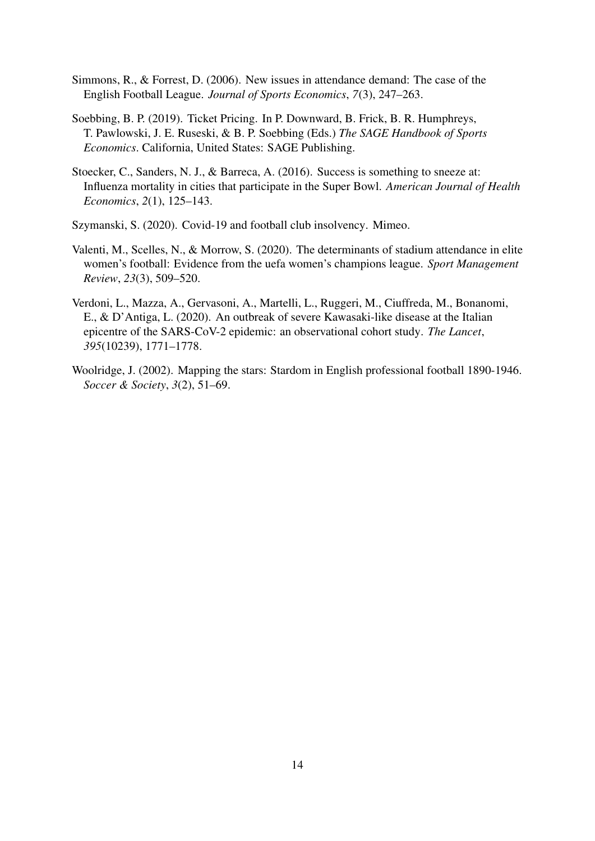- <span id="page-14-2"></span>Simmons, R., & Forrest, D. (2006). New issues in attendance demand: The case of the English Football League. *Journal of Sports Economics*, *7*(3), 247–263.
- <span id="page-14-6"></span>Soebbing, B. P. (2019). Ticket Pricing. In P. Downward, B. Frick, B. R. Humphreys, T. Pawlowski, J. E. Ruseski, & B. P. Soebbing (Eds.) *The SAGE Handbook of Sports Economics*. California, United States: SAGE Publishing.
- <span id="page-14-4"></span>Stoecker, C., Sanders, N. J., & Barreca, A. (2016). Success is something to sneeze at: Influenza mortality in cities that participate in the Super Bowl. *American Journal of Health Economics*, *2*(1), 125–143.
- <span id="page-14-5"></span>Szymanski, S. (2020). Covid-19 and football club insolvency. Mimeo.
- <span id="page-14-3"></span>Valenti, M., Scelles, N., & Morrow, S. (2020). The determinants of stadium attendance in elite women's football: Evidence from the uefa women's champions league. *Sport Management Review*, *23*(3), 509–520.
- <span id="page-14-0"></span>Verdoni, L., Mazza, A., Gervasoni, A., Martelli, L., Ruggeri, M., Ciuffreda, M., Bonanomi, E., & D'Antiga, L. (2020). An outbreak of severe Kawasaki-like disease at the Italian epicentre of the SARS-CoV-2 epidemic: an observational cohort study. *The Lancet*, *395*(10239), 1771–1778.
- <span id="page-14-1"></span>Woolridge, J. (2002). Mapping the stars: Stardom in English professional football 1890-1946. *Soccer & Society*, *3*(2), 51–69.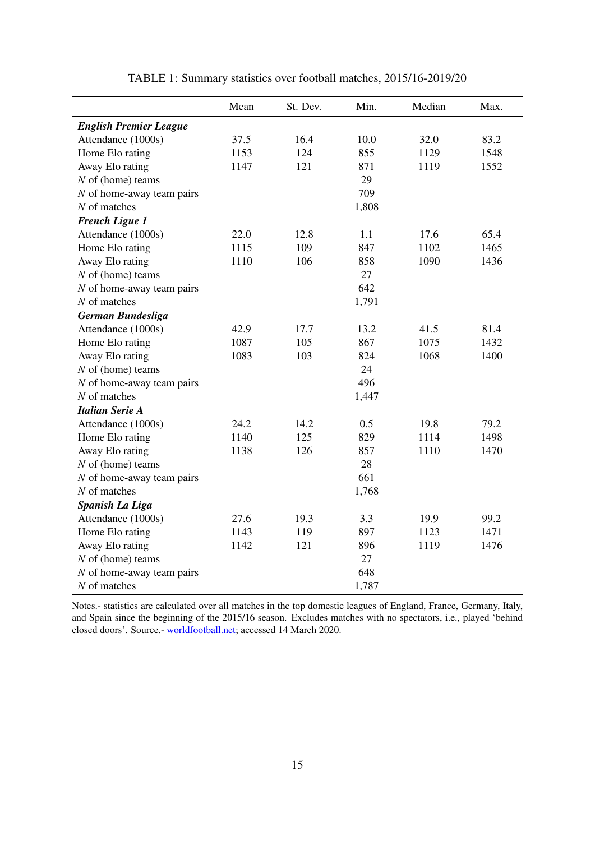<span id="page-15-0"></span>

|                               | Mean | St. Dev. | Min.  | Median | Max. |
|-------------------------------|------|----------|-------|--------|------|
| <b>English Premier League</b> |      |          |       |        |      |
| Attendance (1000s)            | 37.5 | 16.4     | 10.0  | 32.0   | 83.2 |
| Home Elo rating               | 1153 | 124      | 855   | 1129   | 1548 |
| Away Elo rating               | 1147 | 121      | 871   | 1119   | 1552 |
| $N$ of (home) teams           |      |          | 29    |        |      |
| $N$ of home-away team pairs   |      |          | 709   |        |      |
| $N$ of matches                |      |          | 1,808 |        |      |
| <b>French Ligue 1</b>         |      |          |       |        |      |
| Attendance (1000s)            | 22.0 | 12.8     | 1.1   | 17.6   | 65.4 |
| Home Elo rating               | 1115 | 109      | 847   | 1102   | 1465 |
| Away Elo rating               | 1110 | 106      | 858   | 1090   | 1436 |
| $N$ of (home) teams           |      |          | 27    |        |      |
| $N$ of home-away team pairs   |      |          | 642   |        |      |
| $N$ of matches                |      |          | 1,791 |        |      |
| German Bundesliga             |      |          |       |        |      |
| Attendance (1000s)            | 42.9 | 17.7     | 13.2  | 41.5   | 81.4 |
| Home Elo rating               | 1087 | 105      | 867   | 1075   | 1432 |
| Away Elo rating               | 1083 | 103      | 824   | 1068   | 1400 |
| $N$ of (home) teams           |      |          | 24    |        |      |
| $N$ of home-away team pairs   |      |          | 496   |        |      |
| $N$ of matches                |      |          | 1,447 |        |      |
| <b>Italian Serie A</b>        |      |          |       |        |      |
| Attendance (1000s)            | 24.2 | 14.2     | 0.5   | 19.8   | 79.2 |
| Home Elo rating               | 1140 | 125      | 829   | 1114   | 1498 |
| Away Elo rating               | 1138 | 126      | 857   | 1110   | 1470 |
| $N$ of (home) teams           |      |          | 28    |        |      |
| $N$ of home-away team pairs   |      |          | 661   |        |      |
| $N$ of matches                |      |          | 1,768 |        |      |
| Spanish La Liga               |      |          |       |        |      |
| Attendance (1000s)            | 27.6 | 19.3     | 3.3   | 19.9   | 99.2 |
| Home Elo rating               | 1143 | 119      | 897   | 1123   | 1471 |
| Away Elo rating               | 1142 | 121      | 896   | 1119   | 1476 |
| $N$ of (home) teams           |      |          | 27    |        |      |
| $N$ of home-away team pairs   |      |          | 648   |        |      |
| $N$ of matches                |      |          | 1,787 |        |      |

TABLE 1: Summary statistics over football matches, 2015/16-2019/20

Notes.- statistics are calculated over all matches in the top domestic leagues of England, France, Germany, Italy, and Spain since the beginning of the 2015/16 season. Excludes matches with no spectators, i.e., played 'behind closed doors'. Source.- [worldfootball.net;](https://www.worldfootball.net/) accessed 14 March 2020.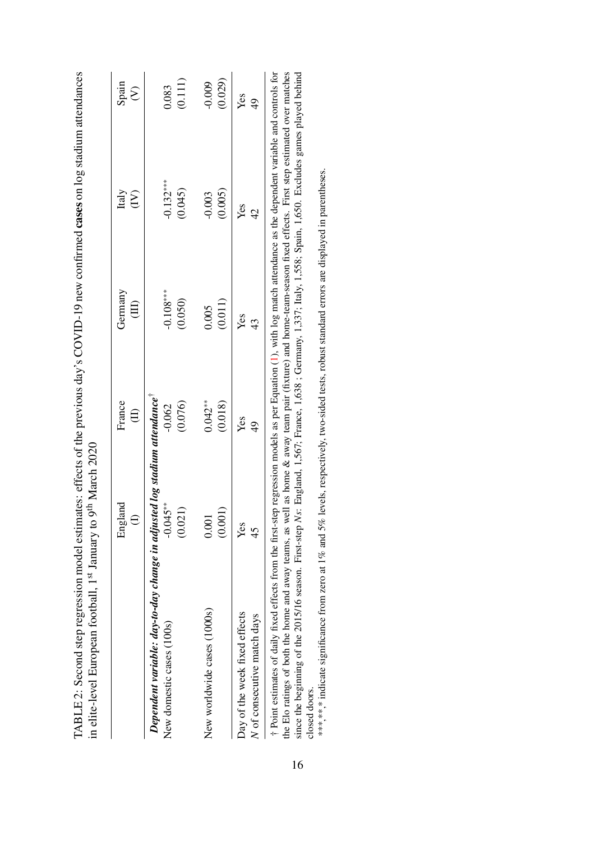|                                                                                                       | England    | France<br>$\bigoplus$ | Germany<br>$\bigoplus$ | $\sum_{i=1}^{n}$<br>Italy | Spain<br>$\hat{\epsilon}$ |
|-------------------------------------------------------------------------------------------------------|------------|-----------------------|------------------------|---------------------------|---------------------------|
|                                                                                                       |            |                       |                        |                           |                           |
| Dependent variable: day-to-day change in adjusted log stadium attendance<br>New domestic cases (100s) | $-0.045**$ | $-0.062$              | $-0.108***$            | $-0.132***$               | 0.083                     |
|                                                                                                       | (0.021)    | (0.076)               | (0.050)                | (0.045)                   | (0.111)                   |
| New worldwide cases (1000s)                                                                           | 0.001      | $0.042**$             | 0.005                  | $-0.003$                  | $-0.009$                  |
|                                                                                                       | (0.001)    | (0.018)               | (0.011)                | (0.005)                   | (0.029)                   |
| Day of the week fixed effects                                                                         | Yes        | Yes                   | Yes                    | Yes                       | Yes                       |
| N of consecutive match days                                                                           |            | $\frac{4}{9}$         | 43                     | $\overline{4}$            | $\frac{4}{9}$             |

<span id="page-16-0"></span>TABLE 2: Second step regression model estimates: effects of the previous day's COVID-19 new confirmed cases on log stadium attendances TABLE 2: Second step regression model estimates: effects of the previous day's COVID-19 new confirmed cases on log stadium attendances

since the beginning of the 2015/16 season. First-step Ns: England, 1,567; France, 1,638; Germany, 1,337; Italy, 1,558; Spain, 1,650. Excludes games played behind closed doors.<br>closed doors.<br>\*\*\*\*\* indicate significance from the Elo ratings of both the home and away teams, as well as home & away team pair (fixture) and home-team-season fixed effects. First step estimated over matches since the beginning of the 2015/16 season. First-step *Ns*: England, 1,567; France, 1,638 ; Germany, 1,337; Italy, 1,558; Spain, 1,650. Excludes games played behind closed doors.

\*\*\*\*\*\*\* indicate significance from zero at 1% and 5% levels, respectively, two-sided tests, robust standard errors are displayed in parentheses.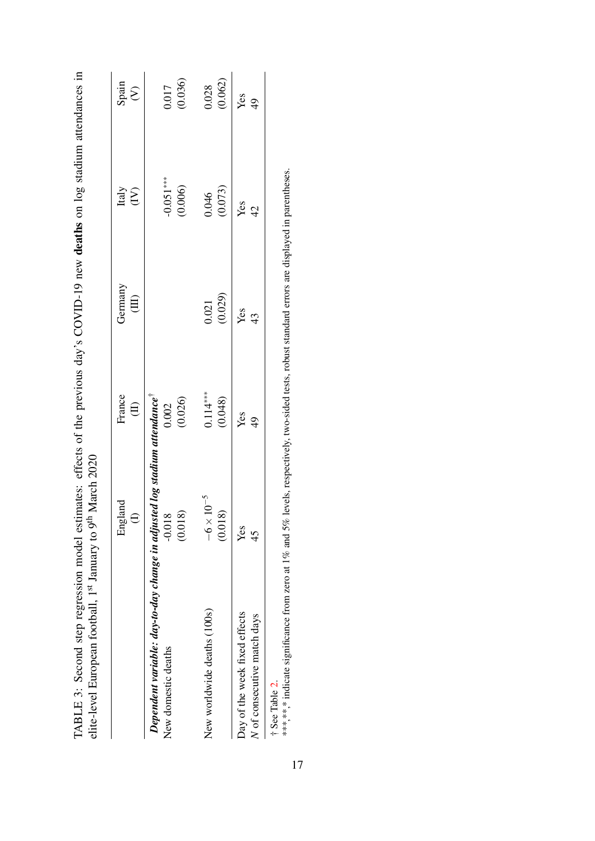| elite-level European football, 1st January to 9th March 2020                                                                 |                   |                         |                         |                        |                                            |
|------------------------------------------------------------------------------------------------------------------------------|-------------------|-------------------------|-------------------------|------------------------|--------------------------------------------|
| Dependent variable: day-to-day change in adjusted log stadium attendance <sup>†</sup><br>ew domestic deaths<br>$\frac{1}{2}$ | England           | France                  | Germany<br>(III)        | Italy<br>$(Y)$         | $\mathop{\rm Span}\limits_{(\mathcal{X})}$ |
|                                                                                                                              |                   |                         |                         |                        |                                            |
| New domestic deaths                                                                                                          |                   |                         |                         |                        |                                            |
|                                                                                                                              | (0.018)           | $\frac{0.002}{(0.026)}$ |                         | $-0.051***$<br>(0.006) | $\frac{0.017}{(0.036)}$                    |
| New worldwide deaths (100s)                                                                                                  | $-6\times10^{-5}$ |                         |                         |                        |                                            |
|                                                                                                                              | (0.018)           | $0.114***$<br>(0.048)   | $\frac{0.021}{(0.029)}$ | $0.046$<br>$(0.073)$   | $\frac{0.028}{0.062}$                      |
| Day of the week fixed effects                                                                                                | Yes               | Yes                     |                         |                        |                                            |
| N of consecutive match days                                                                                                  | 45                | 49                      | Yes<br>43               | ን<br>42                | $Y_{es}$                                   |
| † See Table 2.                                                                                                               |                   |                         |                         |                        |                                            |

TABLE 3: Second step regression model estimates: effects of the previous day's COVID-19 new deaths on log stadium attendances in TABLE 3: Second step regression model estimates: effects of the previous day's COVID-19 new deaths on log stadium attendances in

<span id="page-17-0"></span>

\*\*\*\*\*\*\* indicate significance from zero at 1% and 5% levels, respectively, two-sided tests, robust standard errors are displayed in parentheses. \*\*\*\*\*\*\* indicate significance from zero at 1% and 5% levels, respectively, two-sided tests, robust standard errors are displayed in parentheses.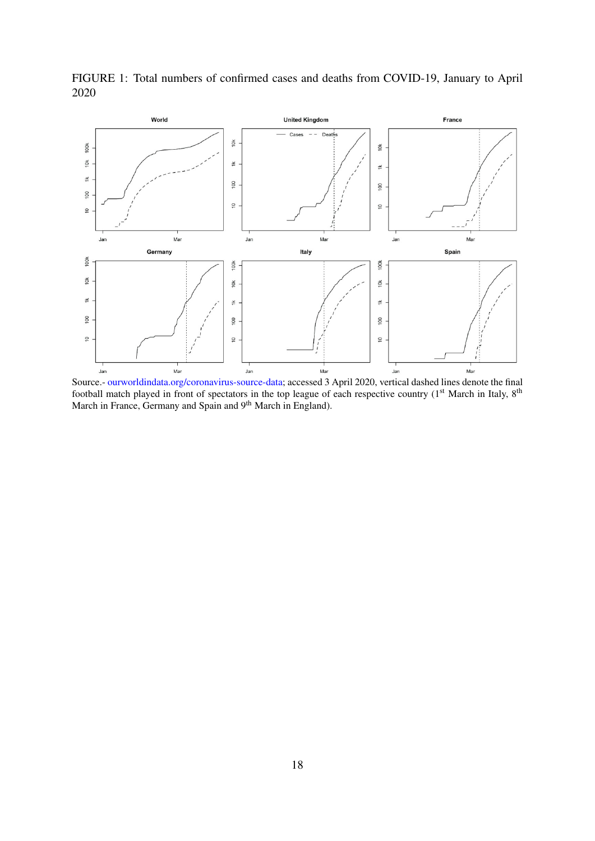

<span id="page-18-0"></span>FIGURE 1: Total numbers of confirmed cases and deaths from COVID-19, January to April 2020

Source.- [ourworldindata.org/coronavirus-source-data;](https://ourworldindata.org/coronavirus-source-data) accessed 3 April 2020, vertical dashed lines denote the final football match played in front of spectators in the top league of each respective country ( $1<sup>st</sup>$  March in Italy,  $8<sup>th</sup>$ March in France, Germany and Spain and 9<sup>th</sup> March in England).